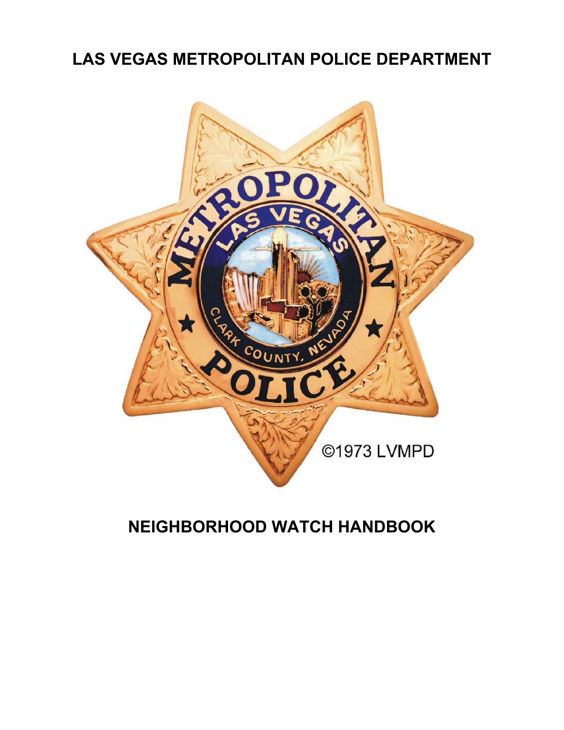# **LAS VEGAS METROPOLITAN POLICE DEPARTMENT**



# **NEIGHBORHOOD WATCH HANDBOOK**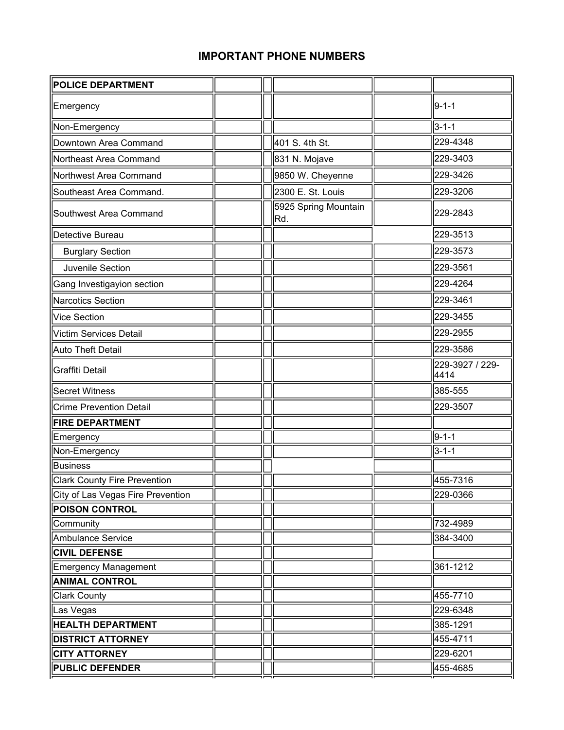# **IMPORTANT PHONE NUMBERS**

| POLICE DEPARTMENT                   |  |                              |                         |
|-------------------------------------|--|------------------------------|-------------------------|
| Emergency                           |  |                              | $9 - 1 - 1$             |
| Non-Emergency                       |  |                              | $3 - 1 - 1$             |
| Downtown Area Command               |  | 401 S. 4th St.               | 229-4348                |
| Northeast Area Command              |  | 831 N. Mojave                | 229-3403                |
| Northwest Area Command              |  | 9850 W. Cheyenne             | 229-3426                |
| Southeast Area Command.             |  | 2300 E. St. Louis            | 229-3206                |
| Southwest Area Command              |  | 5925 Spring Mountain<br>∣Rd. | 229-2843                |
| Detective Bureau                    |  |                              | 229-3513                |
| <b>Burglary Section</b>             |  |                              | 229-3573                |
| Juvenile Section                    |  |                              | 229-3561                |
| Gang Investigayion section          |  |                              | 229-4264                |
| <b>Narcotics Section</b>            |  |                              | 229-3461                |
| <b>Vice Section</b>                 |  |                              | 229-3455                |
| <b>Victim Services Detail</b>       |  |                              | 229-2955                |
| <b>Auto Theft Detail</b>            |  |                              | 229-3586                |
| <b>Graffiti Detail</b>              |  |                              | 229-3927 / 229-<br>4414 |
| <b>Secret Witness</b>               |  |                              | 385-555                 |
| <b>Crime Prevention Detail</b>      |  |                              | 229-3507                |
| <b>FIRE DEPARTMENT</b>              |  |                              |                         |
| Emergency                           |  |                              | $9 - 1 - 1$             |
| Non-Emergency                       |  |                              | $3 - 1 - 1$             |
| <b>Business</b>                     |  |                              |                         |
| <b>Clark County Fire Prevention</b> |  |                              | 455-7316                |
| City of Las Vegas Fire Prevention   |  |                              | 229-0366                |
| <b>POISON CONTROL</b>               |  |                              |                         |
| Community                           |  |                              | 732-4989                |
| <b>Ambulance Service</b>            |  |                              | 384-3400                |
| <b>CIVIL DEFENSE</b>                |  |                              |                         |
| <b>Emergency Management</b>         |  |                              | 361-1212                |
| <b>ANIMAL CONTROL</b>               |  |                              |                         |
| <b>Clark County</b>                 |  |                              | 455-7710                |
| Las Vegas                           |  |                              | 229-6348                |
| <b>HEALTH DEPARTMENT</b>            |  |                              | 385-1291                |
| <b>DISTRICT ATTORNEY</b>            |  |                              | 455-4711                |
| <b>CITY ATTORNEY</b>                |  |                              | 229-6201                |
| <b>PUBLIC DEFENDER</b>              |  |                              | 455-4685                |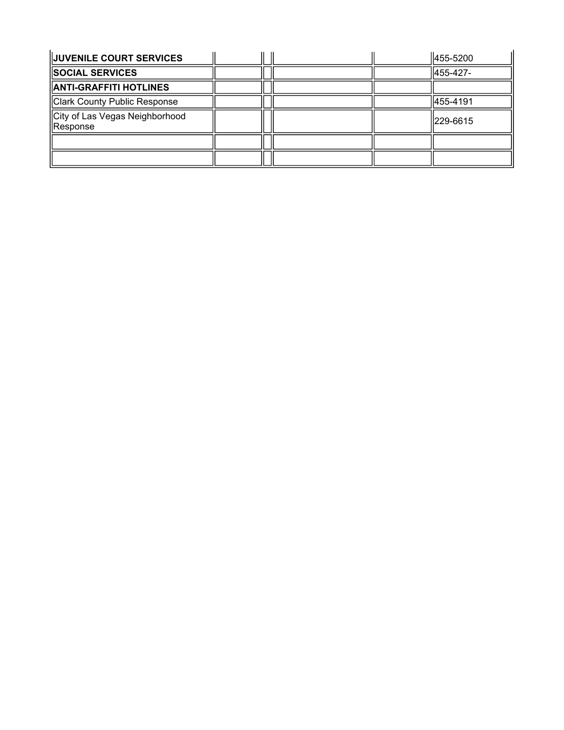| <b>JUVENILE COURT SERVICES</b>             |  |  | $\parallel$ 455-5200 |
|--------------------------------------------|--|--|----------------------|
| <b>SOCIAL SERVICES</b>                     |  |  | 455-427-             |
| <b>ANTI-GRAFFITI HOTLINES</b>              |  |  |                      |
| Clark County Public Response               |  |  | 455-4191             |
| City of Las Vegas Neighborhood<br>Response |  |  | 229-6615             |
|                                            |  |  |                      |
|                                            |  |  |                      |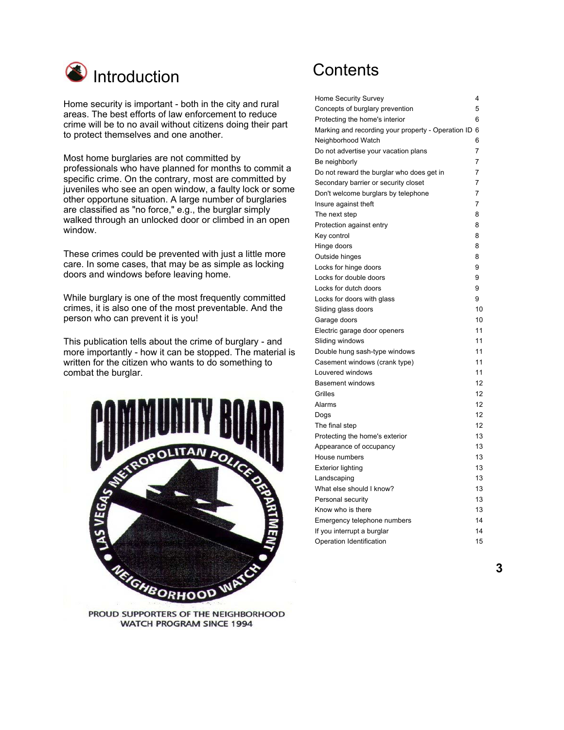

Home security is important - both in the city and rural areas. The best efforts of law enforcement to reduce crime will be to no avail without citizens doing their part to protect themselves and one another.

Most home burglaries are not committed by professionals who have planned for months to commit a specific crime. On the contrary, most are committed by juveniles who see an open window, a faulty lock or some other opportune situation. A large number of burglaries are classified as "no force," e.g., the burglar simply walked through an unlocked door or climbed in an open window.

These crimes could be prevented with just a little more care. In some cases, that may be as simple as locking doors and windows before leaving home.

While burglary is one of the most frequently committed crimes, it is also one of the most preventable. And the person who can prevent it is you!

This publication tells about the crime of burglary - and more importantly - how it can be stopped. The material is written for the citizen who wants to do something to combat the burglar.



PROUD SUPPORTERS OF THE NEIGHBORHOOD **WATCH PROGRAM SINCE 1994** 

# **Contents**

| Home Security Survey                               | 4  |
|----------------------------------------------------|----|
| Concepts of burglary prevention                    | 5  |
| Protecting the home's interior                     | 6  |
| Marking and recording your property - Operation ID | 6  |
| Neighborhood Watch                                 | 6  |
| Do not advertise your vacation plans               | 7  |
| Be neighborly                                      | 7  |
| Do not reward the burglar who does get in          | 7  |
| Secondary barrier or security closet               | 7  |
| Don't welcome burglars by telephone                | 7  |
| Insure against theft                               | 7  |
| The next step                                      | 8  |
| Protection against entry                           | 8  |
| Key control                                        | 8  |
| Hinge doors                                        | 8  |
| Outside hinges                                     | 8  |
| Locks for hinge doors                              | 9  |
| Locks for double doors                             | 9  |
| Locks for dutch doors                              | 9  |
| Locks for doors with glass                         | 9  |
| Sliding glass doors                                | 10 |
| Garage doors                                       | 10 |
| Electric garage door openers                       | 11 |
| Sliding windows                                    | 11 |
| Double hung sash-type windows                      | 11 |
| Casement windows (crank type)                      | 11 |
| Louvered windows                                   | 11 |
| <b>Basement windows</b>                            | 12 |
| Grilles                                            | 12 |
| Alarms                                             | 12 |
| Dogs                                               | 12 |
| The final step                                     | 12 |
| Protecting the home's exterior                     | 13 |
| Appearance of occupancy                            | 13 |
| House numbers                                      | 13 |
| <b>Exterior lighting</b>                           | 13 |
| Landscaping                                        | 13 |
| What else should I know?                           | 13 |
| Personal security                                  | 13 |
| Know who is there                                  | 13 |
| Emergency telephone numbers                        | 14 |
| If you interrupt a burglar                         | 14 |
| Operation Identification                           | 15 |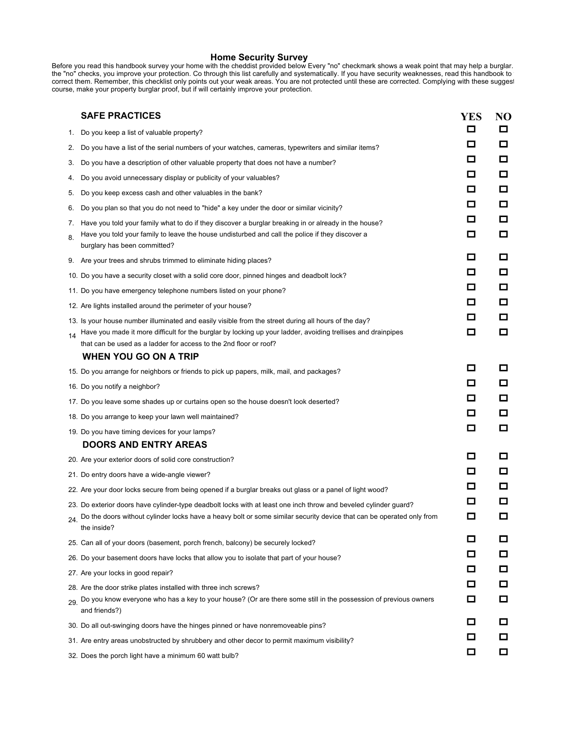**Home Security Survey**<br>Before you read this handbook survey your home with the cheddist provided below Every "no" checkmark shows a weak point that may help a burglar. the "no" checks, you improve your protection. Co through this list carefully and systematically. If you have security weaknesses, read this handbook to correct them. Remember, this checklist only points out your weak areas. You are not protected until these are corrected. Complying with these suggest course, make your property burglar proof, but if will certainly improve your protection.

|          | <b>SAFE PRACTICES</b>                                                                                                                                                                                                                                                                     | <b>YES</b>  | N <sub>O</sub>   |
|----------|-------------------------------------------------------------------------------------------------------------------------------------------------------------------------------------------------------------------------------------------------------------------------------------------|-------------|------------------|
| 1.       | Do you keep a list of valuable property?                                                                                                                                                                                                                                                  | □           | $\Box$           |
| 2.       | Do you have a list of the serial numbers of your watches, cameras, typewriters and similar items?                                                                                                                                                                                         | □           | □                |
| 3.       | Do you have a description of other valuable property that does not have a number?                                                                                                                                                                                                         | □           | □                |
| 4.       | Do you avoid unnecessary display or publicity of your valuables?                                                                                                                                                                                                                          | □           | $\Box$           |
| 5.       | Do you keep excess cash and other valuables in the bank?                                                                                                                                                                                                                                  | □           | $\Box$           |
| 6.       | Do you plan so that you do not need to "hide" a key under the door or similar vicinity?                                                                                                                                                                                                   | □           | $\Box$           |
| 7.<br>8. | Have you told your family what to do if they discover a burglar breaking in or already in the house?<br>Have you told your family to leave the house undisturbed and call the police if they discover a<br>burglary has been committed?                                                   | □<br>О      | □<br>$\Box$      |
|          | 9. Are your trees and shrubs trimmed to eliminate hiding places?                                                                                                                                                                                                                          | О           | □                |
|          | 10. Do you have a security closet with a solid core door, pinned hinges and deadbolt lock?                                                                                                                                                                                                | □           | $\Box$           |
|          | 11. Do you have emergency telephone numbers listed on your phone?                                                                                                                                                                                                                         | О           | $\Box$           |
|          | 12. Are lights installed around the perimeter of your house?                                                                                                                                                                                                                              | □           | □                |
| 14       | 13. Is your house number illuminated and easily visible from the street during all hours of the day?<br>Have you made it more difficult for the burglar by locking up your ladder, avoiding trellises and drainpipes<br>that can be used as a ladder for access to the 2nd floor or roof? | □<br>О      | $\Box$<br>$\Box$ |
|          | WHEN YOU GO ON A TRIP                                                                                                                                                                                                                                                                     | О           | 0                |
|          | 15. Do you arrange for neighbors or friends to pick up papers, milk, mail, and packages?                                                                                                                                                                                                  | □           | $\Box$           |
|          | 16. Do you notify a neighbor?                                                                                                                                                                                                                                                             | О           | □                |
|          | 17. Do you leave some shades up or curtains open so the house doesn't look deserted?                                                                                                                                                                                                      | □           | $\Box$           |
|          | 18. Do you arrange to keep your lawn well maintained?                                                                                                                                                                                                                                     | □           | $\Box$           |
|          | 19. Do you have timing devices for your lamps?                                                                                                                                                                                                                                            |             |                  |
|          | <b>DOORS AND ENTRY AREAS</b>                                                                                                                                                                                                                                                              | О           | □                |
|          | 20. Are your exterior doors of solid core construction?                                                                                                                                                                                                                                   | □           | $\Box$           |
|          | 21. Do entry doors have a wide-angle viewer?                                                                                                                                                                                                                                              | О           | $\Box$           |
|          | 22. Are your door locks secure from being opened if a burglar breaks out glass or a panel of light wood?                                                                                                                                                                                  | □           | □                |
|          | 23. Do exterior doors have cylinder-type deadbolt locks with at least one inch throw and beveled cylinder guard?<br>Do the doors without cylinder locks have a heavy bolt or some similar security device that can be operated only from<br>the inside?                                   | □           | $\Box$           |
|          | 25. Can all of your doors (basement, porch french, balcony) be securely locked?                                                                                                                                                                                                           | □           | $\Box$           |
|          | 26. Do your basement doors have locks that allow you to isolate that part of your house?                                                                                                                                                                                                  | □           | □                |
|          | 27. Are your locks in good repair?                                                                                                                                                                                                                                                        | □           | □                |
| 29.      | 28. Are the door strike plates installed with three inch screws?<br>Do you know everyone who has a key to your house? (Or are there some still in the possession of previous owners                                                                                                       | $\Box$<br>□ | $\Box$<br>□      |
|          | and friends?)                                                                                                                                                                                                                                                                             | □           | □                |
|          | 30. Do all out-swinging doors have the hinges pinned or have nonremoveable pins?                                                                                                                                                                                                          | □           | $\Box$           |
|          | 31. Are entry areas unobstructed by shrubbery and other decor to permit maximum visibility?                                                                                                                                                                                               | □           | $\Box$           |
|          | 32. Does the porch light have a minimum 60 watt bulb?                                                                                                                                                                                                                                     |             |                  |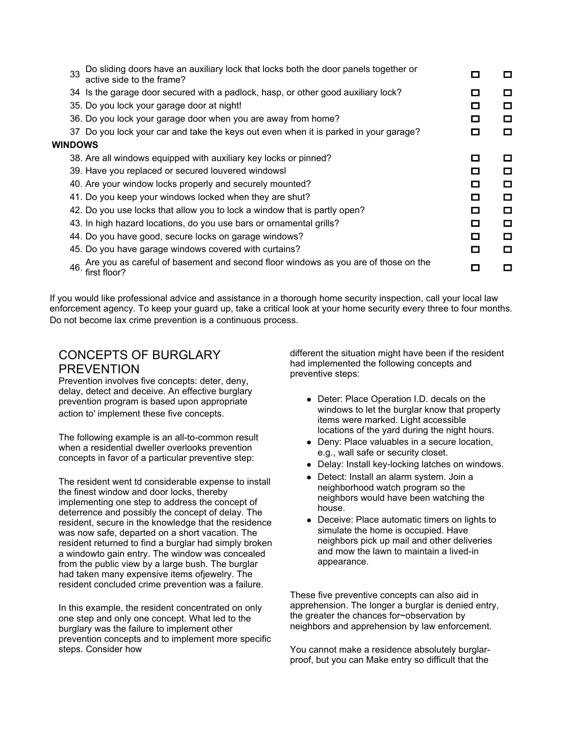| Do sliding doors have an auxiliary lock that locks both the door panels together or<br>33<br>active side to the frame? | □ | $\Box$ |
|------------------------------------------------------------------------------------------------------------------------|---|--------|
| 34 Is the garage door secured with a padlock, hasp, or other good auxiliary lock?                                      | П | □      |
| 35. Do you lock your garage door at night!                                                                             | П | □      |
| 36. Do you lock your garage door when you are away from home?                                                          | П | $\Box$ |
| 37 Do you lock your car and take the keys out even when it is parked in your garage?                                   | □ | O      |
| WINDOWS                                                                                                                |   |        |
| 38. Are all windows equipped with auxiliary key locks or pinned?                                                       | П | $\Box$ |
| 39. Have you replaced or secured louvered windowsl                                                                     | п | ◘      |
| 40. Are your window locks properly and securely mounted?                                                               | □ | $\Box$ |
| 41. Do you keep your windows locked when they are shut?                                                                | □ | O      |
| 42. Do you use locks that allow you to lock a window that is partly open?                                              | □ | $\Box$ |
| 43. In high hazard locations, do you use bars or ornamental grills?                                                    | □ | □      |
| 44. Do you have good, secure locks on garage windows?                                                                  | п | $\Box$ |
| 45. Do you have garage windows covered with curtains?                                                                  | □ | □      |
| Are you as careful of basement and second floor windows as you are of those on the<br>46.<br>first floor?              |   | $\Box$ |

If you would like professional advice and assistance in a thorough home security inspection, call your local law enforcement agency. To keep your guard up, take a critical look at your home security every three to four months. Do not become lax crime prevention is a continuous process.

# CONCEPTS OF BURGLARY PREVENTION<br>Prevention involves five concepts: deter, deny,

delay, detect and deceive. An effective burglary prevention program is based upon appropriate action to' implement these five concepts.

The following example is an all-to-common result when a residential dweller overlooks prevention concepts in favor of a particular preventive step:

The resident went td considerable expense to install the finest window and door locks, thereby implementing one step to address the concept of deterrence and possibly the concept of delay. The resident, secure in the knowledge that the residence was now safe, departed on a short vacation. The resident returned to find a burglar had simply broken a windowto gain entry. The window was concealed from the public view by a large bush. The burglar had taken many expensive items ofjewelry. The resident concluded crime prevention was a failure.

In this example, the resident concentrated on only one step and only one concept. What led to the burglary was the failure to implement other prevention concepts and to implement more specific steps. Consider how

different the situation might have been if the resident had implemented the following concepts and preventive steps:

- Deter: Place Operation I.D. decals on the windows to let the burglar know that property items were marked. Light accessible locations of the yard during the night hours.
- Deny: Place valuables in a secure location, e.g., wall safe or security closet.
- Delay: Install key-locking latches on windows.
- Detect: Install an alarm system. Join a neighborhood watch program so the neighbors would have been watching the house.
- Deceive: Place automatic timers on lights to simulate the home is occupied. Have neighbors pick up mail and other deliveries and mow the lawn to maintain a lived-in appearance.

These five preventive concepts can also aid in apprehension. The longer a burglar is denied entry, the greater the chances for~observation by neighbors and apprehension by law enforcement.

You cannot make a residence absolutely burglarproof, but you can Make entry so difficult that the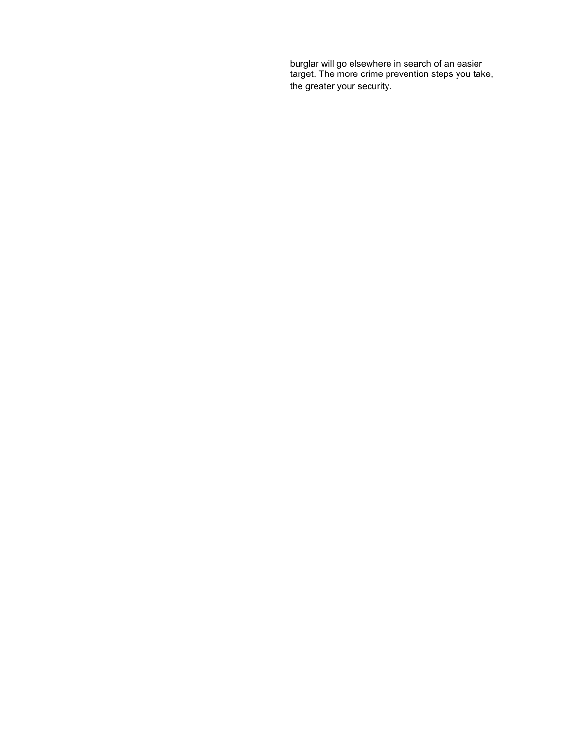burglar will go elsewhere in search of an easier target. The more crime prevention steps you take, the greater your security.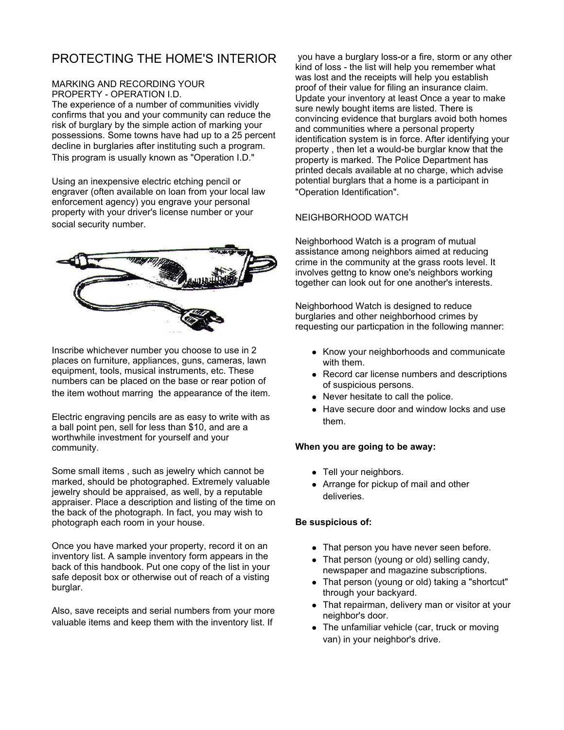# PROTECTING THE HOME'S INTERIOR

### MARKING AND RECORDING YOUR PROPERTY - OPERATION I.D.

The experience of a number of communities vividly confirms that you and your community can reduce the risk of burglary by the simple action of marking your possessions. Some towns have had up to a 25 percent decline in burglaries after instituting such a program. This program is usually known as "Operation I.D."

Using an inexpensive electric etching pencil or engraver (often available on loan from your local law enforcement agency) you engrave your personal property with your driver's license number or your social security number.



Inscribe whichever number you choose to use in 2 places on furniture, appliances, guns, cameras, lawn equipment, tools, musical instruments, etc. These numbers can be placed on the base or rear potion of the item wothout marring the appearance of the item.

Electric engraving pencils are as easy to write with as a ball point pen, sell for less than \$10, and are a worthwhile investment for yourself and your community.

Some small items , such as jewelry which cannot be marked, should be photographed. Extremely valuable jewelry should be appraised, as well, by a reputable appraiser. Place a description and listing of the time on the back of the photograph. In fact, you may wish to photograph each room in your house.

Once you have marked your property, record it on an inventory list. A sample inventory form appears in the back of this handbook. Put one copy of the list in your safe deposit box or otherwise out of reach of a visting burglar.

Also, save receipts and serial numbers from your more valuable items and keep them with the inventory list. If

 you have a burglary loss-or a fire, storm or any other kind of loss - the list will help you remember what was lost and the receipts will help you establish proof of their value for filing an insurance claim. Update your inventory at least Once a year to make sure newly bought items are listed. There is convincing evidence that burglars avoid both homes and communities where a personal property identification system is in force. After identifying your property , then let a would-be burglar know that the property is marked. The Police Department has printed decals available at no charge, which advise potential burglars that a home is a participant in "Operation Identification".

#### NEIGHBORHOOD WATCH

Neighborhood Watch is a program of mutual assistance among neighbors aimed at reducing crime in the community at the grass roots level. It involves gettng to know one's neighbors working together can look out for one another's interests.

Neighborhood Watch is designed to reduce burglaries and other neighborhood crimes by requesting our particpation in the following manner:

- Know your neighborhoods and communicate with them.
- Record car license numbers and descriptions of suspicious persons.
- Never hesitate to call the police.
- Have secure door and window locks and use them.

#### **When you are going to be away:**

- Tell your neighbors.
- Arrange for pickup of mail and other deliveries.

### **Be suspicious of:**

- That person you have never seen before.
- That person (young or old) selling candy, newspaper and magazine subscriptions.
- That person (young or old) taking a "shortcut" through your backyard.
- That repairman, delivery man or visitor at your neighbor's door.
- $\bullet$  The unfamiliar vehicle (car, truck or moving van) in your neighbor's drive.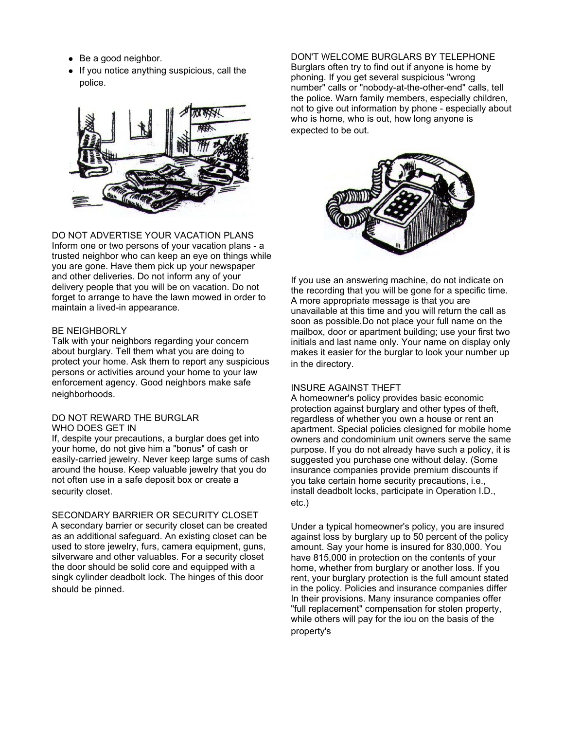- $\bullet$  Be a good neighbor.
- If you notice anything suspicious, call the police.



DO NOT ADVERTISE YOUR VACATION PLANS Inform one or two persons of your vacation plans - a trusted neighbor who can keep an eye on things while you are gone. Have them pick up your newspaper and other deliveries. Do not inform any of your delivery people that you will be on vacation. Do not forget to arrange to have the lawn mowed in order to maintain a lived-in appearance.

#### BE NEIGHBORLY

Talk with your neighbors regarding your concern about burglary. Tell them what you are doing to protect your home. Ask them to report any suspicious persons or activities around your home to your law enforcement agency. Good neighbors make safe neighborhoods.

#### DO NOT REWARD THE BURGLAR WHO DOES GET IN

If, despite your precautions, a burglar does get into your home, do not give him a "bonus" of cash or easily-carried jewelry. Never keep large sums of cash around the house. Keep valuable jewelry that you do not often use in a safe deposit box or create a security closet.

SECONDARY BARRIER OR SECURITY CLOSET A secondary barrier or security closet can be created as an additional safeguard. An existing closet can be used to store jewelry, furs, camera equipment, guns, silverware and other valuables. For a security closet the door should be solid core and equipped with a singk cylinder deadbolt lock. The hinges of this door should be pinned.

DON'T WELCOME BURGLARS BY TELEPHONE Burglars often try to find out if anyone is home by phoning. If you get several suspicious "wrong number" calls or "nobody-at-the-other-end" calls, tell the police. Warn family members, especially children, not to give out information by phone - especially about who is home, who is out, how long anyone is expected to be out.



If you use an answering machine, do not indicate on the recording that you will be gone for a specific time. A more appropriate message is that you are unavailable at this time and you will return the call as soon as possible.Do not place your full name on the mailbox, door or apartment building; use your first two initials and last name only. Your name on display only makes it easier for the burglar to look your number up in the directory.

#### INSURE AGAINST THEFT

A homeowner's policy provides basic economic protection against burglary and other types of theft, regardless of whether you own a house or rent an apartment. Special policies clesigned for mobile home owners and condominium unit owners serve the same purpose. If you do not already have such a policy, it is suggested you purchase one without delay. (Some insurance companies provide premium discounts if you take certain home security precautions, i.e., install deadbolt locks, participate in Operation I.D., etc.)

Under a typical homeowner's policy, you are insured against loss by burglary up to 50 percent of the policy amount. Say your home is insured for 830,000. You have 815,000 in protection on the contents of your home, whether from burglary or another loss. If you rent, your burglary protection is the full amount stated in the policy. Policies and insurance companies differ In their provisions. Many insurance companies offer "full replacement" compensation for stolen property, while others will pay for the iou on the basis of the property's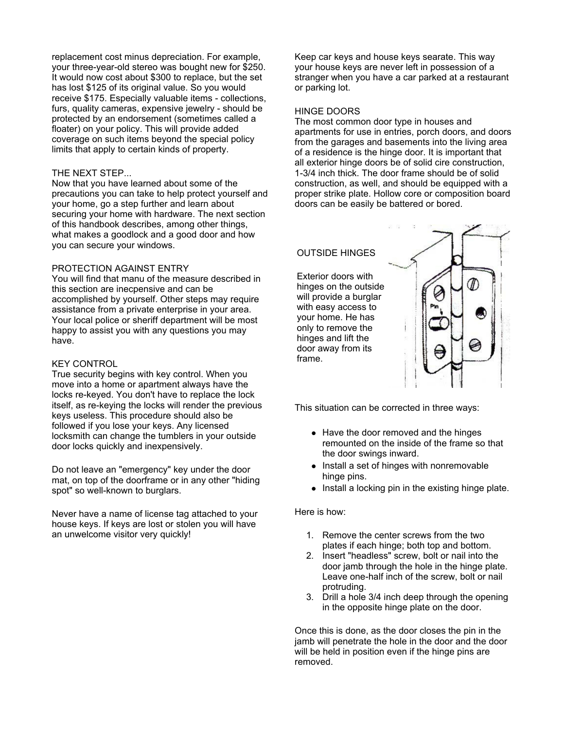replacement cost minus depreciation. For example, your three-year-old stereo was bought new for \$250. It would now cost about \$300 to replace, but the set has lost \$125 of its original value. So you would receive \$175. Especially valuable items - collections, furs, quality cameras, expensive jewelry - should be protected by an endorsement (sometimes called a floater) on your policy. This will provide added coverage on such items beyond the special policy limits that apply to certain kinds of property.

#### THE NEXT STEP...

Now that you have learned about some of the precautions you can take to help protect yourself and your home, go a step further and learn about securing your home with hardware. The next section of this handbook describes, among other things, what makes a goodlock and a good door and how you can secure your windows.

#### PROTECTION AGAINST ENTRY

You will find that manu of the measure described in this section are inecpensive and can be accomplished by yourself. Other steps may require assistance from a private enterprise in your area. Your local police or sheriff department will be most happy to assist you with any questions you may have.

#### KEY CONTROL

True security begins with key control. When you move into a home or apartment always have the locks re-keyed. You don't have to replace the lock itself, as re-keying the locks will render the previous keys useless. This procedure should also be followed if you lose your keys. Any licensed locksmith can change the tumblers in your outside door locks quickly and inexpensively.

Do not leave an "emergency" key under the door mat, on top of the doorframe or in any other "hiding spot" so well-known to burglars.

Never have a name of license tag attached to your house keys. If keys are lost or stolen you will have an unwelcome visitor very quickly!

Keep car keys and house keys searate. This way your house keys are never left in possession of a stranger when you have a car parked at a restaurant or parking lot.

#### HINGE DOORS

The most common door type in houses and apartments for use in entries, porch doors, and doors from the garages and basements into the living area of a residence is the hinge door. It is important that all exterior hinge doors be of solid cire construction, 1-3/4 inch thick. The door frame should be of solid construction, as well, and should be equipped with a proper strike plate. Hollow core or composition board doors can be easily be battered or bored.

### OUTSIDE HINGES

Exterior doors with hinges on the outside will provide a burglar with easy access to your home. He has only to remove the hinges and lift the door away from its frame.



This situation can be corrected in three ways:

- Have the door removed and the hinges remounted on the inside of the frame so that the door swings inward.
- Install a set of hinges with nonremovable hinge pins.
- Install a locking pin in the existing hinge plate.

#### Here is how:

- 1. Remove the center screws from the two plates if each hinge; both top and bottom.
- 2. Insert "headless" screw, bolt or nail into the door jamb through the hole in the hinge plate. Leave one-half inch of the screw, bolt or nail protruding.
- 3. Drill a hole 3/4 inch deep through the opening in the opposite hinge plate on the door.

Once this is done, as the door closes the pin in the jamb will penetrate the hole in the door and the door will be held in position even if the hinge pins are removed.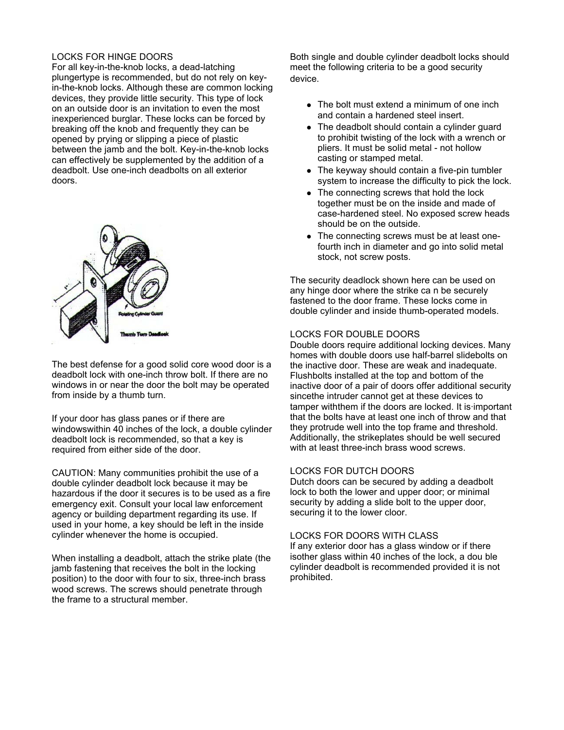### LOCKS FOR HINGE DOORS

For all key-in-the-knob locks, a dead-latching plungertype is recommended, but do not rely on keyin-the-knob locks. Although these are common locking devices, they provide little security. This type of lock on an outside door is an invitation to even the most inexperienced burglar. These locks can be forced by breaking off the knob and frequently they can be opened by prying or slipping a piece of plastic between the jamb and the bolt. Key-in-the-knob locks can effectively be supplemented by the addition of a deadbolt. Use one-inch deadbolts on all exterior doors.



The best defense for a good solid core wood door is a deadbolt lock with one-inch throw bolt. If there are no windows in or near the door the bolt may be operated from inside by a thumb turn.

If your door has glass panes or if there are windowswithin 40 inches of the lock, a double cylinder deadbolt lock is recommended, so that a key is required from either side of the door.

CAUTION: Many communities prohibit the use of a double cylinder deadbolt lock because it may be hazardous if the door it secures is to be used as a fire emergency exit. Consult your local law enforcement agency or building department regarding its use. If used in your home, a key should be left in the inside cylinder whenever the home is occupied.

When installing a deadbolt, attach the strike plate (the jamb fastening that receives the bolt in the locking position) to the door with four to six, three-inch brass wood screws. The screws should penetrate through the frame to a structural member.

Both single and double cylinder deadbolt locks should meet the following criteria to be a good security device.

- $\bullet$  The bolt must extend a minimum of one inch and contain a hardened steel insert.
- The deadbolt should contain a cylinder guard to prohibit twisting of the lock with a wrench or pliers. It must be solid metal - not hollow casting or stamped metal.
- $\bullet$  The keyway should contain a five-pin tumbler system to increase the difficulty to pick the lock.
- The connecting screws that hold the lock together must be on the inside and made of case-hardened steel. No exposed screw heads should be on the outside.
- The connecting screws must be at least onefourth inch in diameter and go into solid metal stock, not screw posts.

The security deadlock shown here can be used on any hinge door where the strike ca n be securely fastened to the door frame. These locks come in double cylinder and inside thumb-operated models.

#### LOCKS FOR DOUBLE DOORS

Double doors require additional locking devices. Many homes with double doors use half-barrel slidebolts on the inactive door. These are weak and inadequate. Flushbolts installed at the top and bottom of the inactive door of a pair of doors offer additional security sincethe intruder cannot get at these devices to tamper withthem if the doors are locked. It is·important that the bolts have at least one inch of throw and that they protrude well into the top frame and threshold. Additionally, the strikeplates should be well secured with at least three-inch brass wood screws.

#### LOCKS FOR DUTCH DOORS

Dutch doors can be secured by adding a deadbolt lock to both the lower and upper door; or minimal security by adding a slide bolt to the upper door, securing it to the lower cloor.

#### LOCKS FOR DOORS WITH CLASS

If any exterior door has a glass window or if there isother glass within 40 inches of the lock, a dou ble cylinder deadbolt is recommended provided it is not prohibited.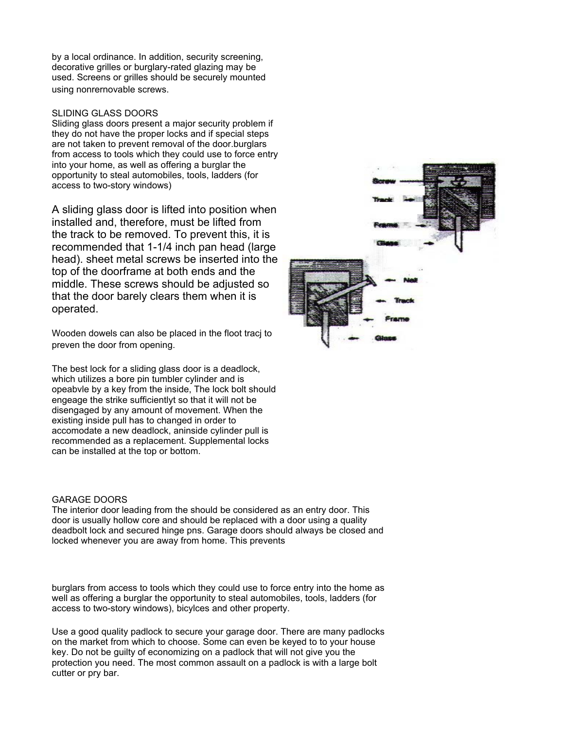by a local ordinance. In addition, security screening, decorative grilles or burglary-rated glazing may be used. Screens or grilles should be securely mounted using nonrernovable screws.

#### SLIDING GLASS DOORS

Sliding glass doors present a major security problem if they do not have the proper locks and if special steps are not taken to prevent removal of the door.burglars from access to tools which they could use to force entry into your home, as well as offering a burglar the opportunity to steal automobiles, tools, ladders (for access to two-story windows)

A sliding glass door is lifted into position when installed and, therefore, must be lifted from the track to be removed. To prevent this, it is recommended that 1-1/4 inch pan head (large head). sheet metal screws be inserted into the top of the doorframe at both ends and the middle. These screws should be adjusted so that the door barely clears them when it is operated.

Wooden dowels can also be placed in the floot tracj to preven the door from opening.

The best lock for a sliding glass door is a deadlock, which utilizes a bore pin tumbler cylinder and is opeabvle by a key from the inside, The lock bolt should engeage the strike sufficientlyt so that it will not be disengaged by any amount of movement. When the existing inside pull has to changed in order to accomodate a new deadlock, aninside cylinder pull is recommended as a replacement. Supplemental locks can be installed at the top or bottom.

#### GARAGE DOORS

The interior door leading from the should be considered as an entry door. This door is usually hollow core and should be replaced with a door using a quality deadbolt lock and secured hinge pns. Garage doors should always be closed and locked whenever you are away from home. This prevents

burglars from access to tools which they could use to force entry into the home as well as offering a burglar the opportunity to steal automobiles, tools, ladders (for access to two-story windows), bicylces and other property.

Use a good quality padlock to secure your garage door. There are many padlocks on the market from which to choose. Some can even be keyed to to your house key. Do not be guilty of economizing on a padlock that will not give you the protection you need. The most common assault on a padlock is with a large bolt cutter or pry bar.

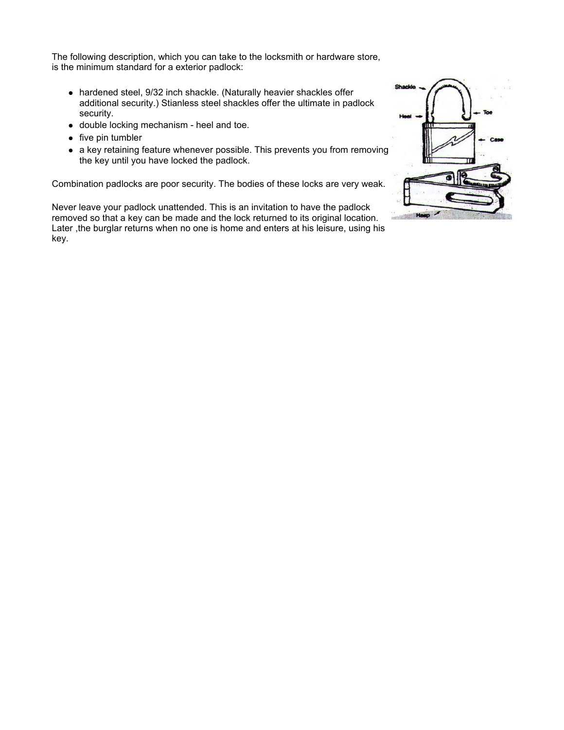The following description, which you can take to the locksmith or hardware store, is the minimum standard for a exterior padlock:

- hardened steel, 9/32 inch shackle. (Naturally heavier shackles offer additional security.) Stianless steel shackles offer the ultimate in padlock security.
- double locking mechanism heel and toe.
- $\bullet$  five pin tumbler
- a key retaining feature whenever possible. This prevents you from removing the key until you have locked the padlock.

Combination padlocks are poor security. The bodies of these locks are very weak.

Never leave your padlock unattended. This is an invitation to have the padlock removed so that a key can be made and the lock returned to its original location. Later ,the burglar returns when no one is home and enters at his leisure, using his key.

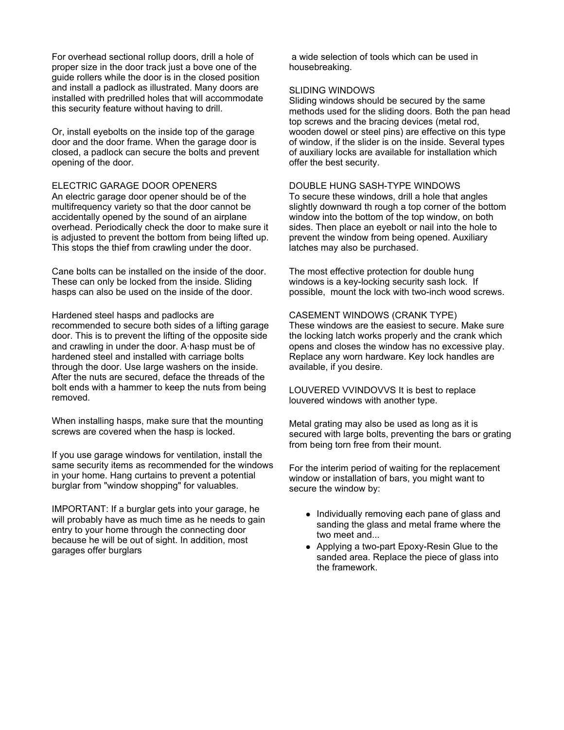For overhead sectional rollup doors, drill a hole of proper size in the door track just a bove one of the guide rollers while the door is in the closed position and install a padlock as illustrated. Many doors are installed with predrilled holes that will accommodate this security feature without having to drill.

Or, install eyebolts on the inside top of the garage door and the door frame. When the garage door is closed, a padlock can secure the bolts and prevent opening of the door.

#### ELECTRIC GARAGE DOOR OPENERS

An electric garage door opener should be of the multifrequency variety so that the door cannot be accidentally opened by the sound of an airplane overhead. Periodically check the door to make sure it is adjusted to prevent the bottom from being lifted up. This stops the thief from crawling under the door.

Cane bolts can be installed on the inside of the door. These can only be locked from the inside. Sliding hasps can also be used on the inside of the door.

Hardened steel hasps and padlocks are recommended to secure both sides of a lifting garage door. This is to prevent the lifting of the opposite side and crawling in under the door. A·hasp must be of hardened steel and installed with carriage bolts through the door. Use large washers on the inside. After the nuts are secured, deface the threads of the bolt ends with a hammer to keep the nuts from being removed.

When installing hasps, make sure that the mounting screws are covered when the hasp is locked.

If you use garage windows for ventilation, install the same security items as recommended for the windows in your home. Hang curtains to prevent a potential burglar from "window shopping" for valuables.

IMPORTANT: If a burglar gets into your garage, he will probably have as much time as he needs to gain entry to your home through the connecting door because he will be out of sight. In addition, most garages offer burglars

 a wide selection of tools which can be used in housebreaking.

#### SLIDING WINDOWS

Sliding windows should be secured by the same methods used for the sliding doors. Both the pan head top screws and the bracing devices (metal rod, wooden dowel or steel pins) are effective on this type of window, if the slider is on the inside. Several types of auxiliary locks are available for installation which offer the best security.

#### DOUBLE HUNG SASH-TYPE WINDOWS

To secure these windows, drill a hole that angles slightly downward th rough a top corner of the bottom window into the bottom of the top window, on both sides. Then place an eyebolt or nail into the hole to prevent the window from being opened. Auxiliary latches may also be purchased.

The most effective protection for double hung windows is a key-locking security sash lock. If possible, mount the lock with two-inch wood screws.

#### CASEMENT WINDOWS (CRANK TYPE)

These windows are the easiest to secure. Make sure the locking latch works properly and the crank which opens and closes the window has no excessive play. Replace any worn hardware. Key lock handles are available, if you desire.

LOUVERED VVINDOVVS It is best to replace louvered windows with another type.

Metal grating may also be used as long as it is secured with large bolts, preventing the bars or grating from being torn free from their mount.

For the interim period of waiting for the replacement window or installation of bars, you might want to secure the window by:

- Individually removing each pane of glass and sanding the glass and metal frame where the two meet and...
- Applying a two-part Epoxy-Resin Glue to the sanded area. Replace the piece of glass into the framework.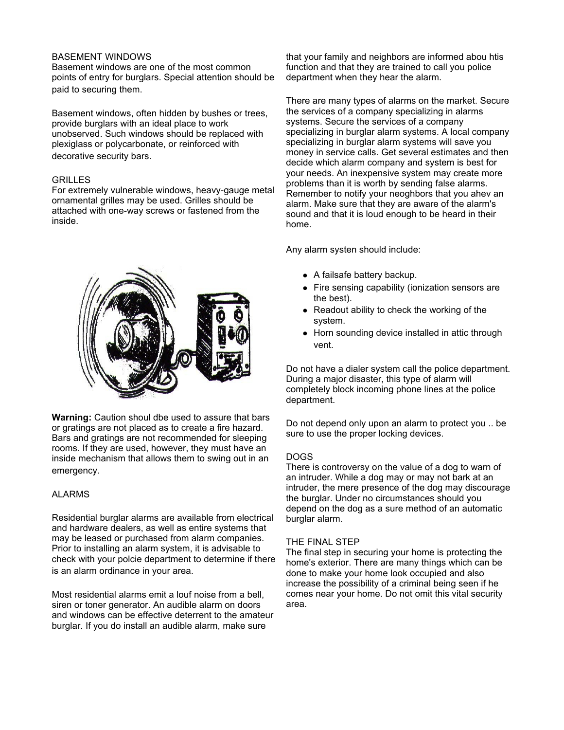#### BASEMENT WINDOWS

Basement windows are one of the most common points of entry for burglars. Special attention should be paid to securing them.

Basement windows, often hidden by bushes or trees, provide burglars with an ideal place to work unobserved. Such windows should be replaced with plexiglass or polycarbonate, or reinforced with decorative security bars.

#### GRILLES

For extremely vulnerable windows, heavy-gauge metal ornamental grilles may be used. Grilles should be attached with one-way screws or fastened from the inside.



**Warning:** Caution shoul dbe used to assure that bars or gratings are not placed as to create a fire hazard. Bars and gratings are not recommended for sleeping rooms. If they are used, however, they must have an inside mechanism that allows them to swing out in an emergency.

#### ALARMS

Residential burglar alarms are available from electrical and hardware dealers, as well as entire systems that may be leased or purchased from alarm companies. Prior to installing an alarm system, it is advisable to check with your polcie department to determine if there is an alarm ordinance in your area.

Most residential alarms emit a louf noise from a bell, siren or toner generator. An audible alarm on doors and windows can be effective deterrent to the amateur burglar. If you do install an audible alarm, make sure

that your family and neighbors are informed abou htis function and that they are trained to call you police department when they hear the alarm.

There are many types of alarms on the market. Secure the services of a company specializing in alarms systems. Secure the services of a company specializing in burglar alarm systems. A local company specializing in burglar alarm systems will save you money in service calls. Get several estimates and then decide which alarm company and system is best for your needs. An inexpensive system may create more problems than it is worth by sending false alarms. Remember to notify your neoghbors that you ahev an alarm. Make sure that they are aware of the alarm's sound and that it is loud enough to be heard in their home.

Any alarm systen should include:

- $\bullet$  A failsafe battery backup.
- Fire sensing capability (ionization sensors are the best).
- $\bullet$  Readout ability to check the working of the system.
- Horn sounding device installed in attic through vent.

Do not have a dialer system call the police department. During a major disaster, this type of alarm will completely block incoming phone lines at the police department.

Do not depend only upon an alarm to protect you .. be sure to use the proper locking devices.

#### DOGS

There is controversy on the value of a dog to warn of an intruder. While a dog may or may not bark at an intruder, the mere presence of the dog may discourage the burglar. Under no circumstances should you depend on the dog as a sure method of an automatic burglar alarm.

#### THE FINAL STEP

The final step in securing your home is protecting the home's exterior. There are many things which can be done to make your home look occupied and also increase the possibility of a criminal being seen if he comes near your home. Do not omit this vital security area.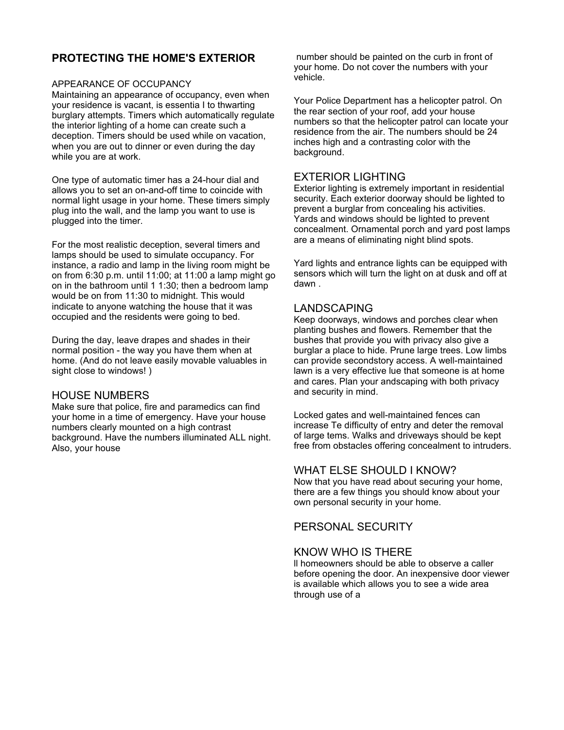# **PROTECTING THE HOME'S EXTERIOR**

APPEARANCE OF OCCUPANCY<br>Maintaining an appearance of occupancy, even when your residence is vacant, is essentia I to thwarting burglary attempts. Timers which automatically regulate the interior lighting of a home can create such a deception. Timers should be used while on vacation, when you are out to dinner or even during the day while you are at work.

One type of automatic timer has a 24-hour dial and allows you to set an on-and-off time to coincide with normal light usage in your home. These timers simply plug into the wall, and the lamp you want to use is plugged into the timer.

For the most realistic deception, several timers and lamps should be used to simulate occupancy. For instance, a radio and lamp in the living room might be on from 6:30 p.m. until 11:00; at 11:00 a lamp might go on in the bathroom until 1 1:30; then a bedroom lamp would be on from 11:30 to midnight. This would indicate to anyone watching the house that it was occupied and the residents were going to bed.

During the day, leave drapes and shades in their normal position - the way you have them when at home. (And do not leave easily movable valuables in sight close to windows! )

## HOUSE NUMBERS

Make sure that police, fire and paramedics can find your home in a time of emergency. Have your house numbers clearly mounted on a high contrast background. Have the numbers illuminated ALL night. Also, your house

 number should be painted on the curb in front of your home. Do not cover the numbers with your vehicle.

Your Police Department has a helicopter patrol. On the rear section of your roof, add your house numbers so that the helicopter patrol can locate your residence from the air. The numbers should be 24 inches high and a contrasting color with the background.

# EXTERIOR LIGHTING

Exterior lighting is extremely important in residential security. Each exterior doorway should be lighted to prevent a burglar from concealing his activities. Yards and windows should be lighted to prevent concealment. Ornamental porch and yard post lamps are a means of eliminating night blind spots.

Yard lights and entrance lights can be equipped with sensors which will turn the light on at dusk and off at dawn .

# LANDSCAPING

Keep doorways, windows and porches clear when planting bushes and flowers. Remember that the bushes that provide you with privacy also give a burglar a place to hide. Prune large trees. Low limbs can provide secondstory access. A well-maintained lawn is a very effective lue that someone is at home and cares. Plan your andscaping with both privacy and security in mind.

Locked gates and well-maintained fences can increase Te difficulty of entry and deter the removal of large tems. Walks and driveways should be kept free from obstacles offering concealment to intruders.

## WHAT ELSE SHOULD I KNOW?

Now that you have read about securing your home, there are a few things you should know about your own personal security in your home.

# PERSONAL SECURITY

# KNOW WHO IS THERE

ll homeowners should be able to observe a caller before opening the door. An inexpensive door viewer is available which allows you to see a wide area through use of a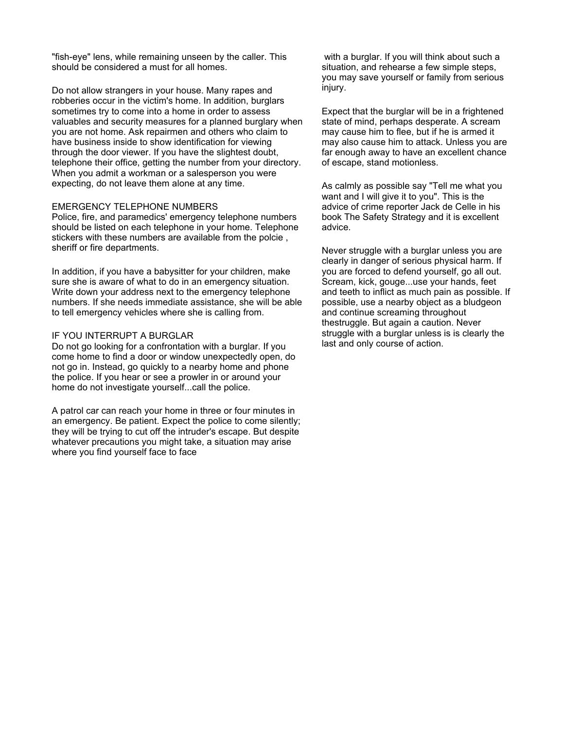"fish-eye" lens, while remaining unseen by the caller. This should be considered a must for all homes.

Do not allow strangers in your house. Many rapes and robberies occur in the victim's home. In addition, burglars sometimes try to come into a home in order to assess valuables and security measures for a planned burglary when you are not home. Ask repairmen and others who claim to have business inside to show identification for viewing through the door viewer. If you have the slightest doubt, telephone their office, getting the number from your directory. When you admit a workman or a salesperson you were expecting, do not leave them alone at any time.

#### EMERGENCY TELEPHONE NUMBERS

Police, fire, and paramedics' emergency telephone numbers should be listed on each telephone in your home. Telephone stickers with these numbers are available from the polcie , sheriff or fire departments.

In addition, if you have a babysitter for your children, make sure she is aware of what to do in an emergency situation. Write down your address next to the emergency telephone numbers. If she needs immediate assistance, she will be able to tell emergency vehicles where she is calling from.

#### IF YOU INTERRUPT A BURGLAR

Do not go looking for a confrontation with a burglar. If you come home to find a door or window unexpectedly open, do not go in. Instead, go quickly to a nearby home and phone the police. If you hear or see a prowler in or around your home do not investigate yourself...call the police.

A patrol car can reach your home in three or four minutes in an emergency. Be patient. Expect the police to come silently; they will be trying to cut off the intruder's escape. But despite whatever precautions you might take, a situation may arise where you find yourself face to face

 with a burglar. If you will think about such a situation, and rehearse a few simple steps, you may save yourself or family from serious injury.

Expect that the burglar will be in a frightened state of mind, perhaps desperate. A scream may cause him to flee, but if he is armed it may also cause him to attack. Unless you are far enough away to have an excellent chance of escape, stand motionless.

As calmly as possible say "Tell me what you want and I will give it to you". This is the advice of crime reporter Jack de Celle in his book The Safety Strategy and it is excellent advice.

Never struggle with a burglar unless you are clearly in danger of serious physical harm. If you are forced to defend yourself, go all out. Scream, kick, gouge...use your hands, feet and teeth to inflict as much pain as possible. If possible, use a nearby object as a bludgeon and continue screaming throughout thestruggle. But again a caution. Never struggle with a burglar unless is is clearly the last and only course of action.